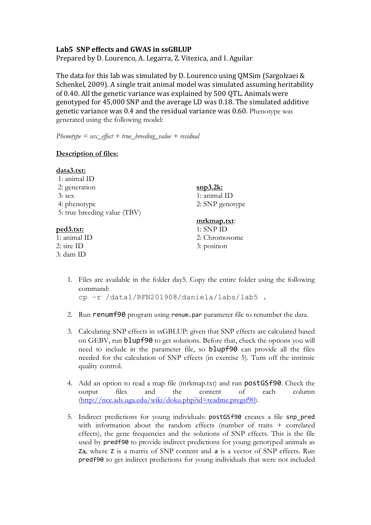## **Lab5 SNP effects and GWAS in ssGBLUP**

Prepared by D. Lourenco, A. Legarra, Z. Vitezica, and I. Aguilar

The data for this lab was simulated by D. Lourenco using QMSim (Sargolzaei  $&$ Schenkel, 2009). A single trait animal model was simulated assuming heritability of 0.40. All the genetic variance was explained by 500 OTL. Animals were genotyped for 45,000 SNP and the average LD was 0.18. The simulated additive genetic variance was 0.4 and the residual variance was 0.60. Phenotype was generated using the following model:

*Phenotype = sex\_effect + true\_breeding\_value + residual*

## **Description of files:**

| data3.txt:                   |                            |
|------------------------------|----------------------------|
| 1: animal ID                 |                            |
| 2: generation                | $\frac{\text{snp3.2k:}}{}$ |
| $3:$ sex                     | 1: animal ID               |
| 4: phenotype                 | 2: SNP genotype            |
| 5: true breeding value (TBV) |                            |
|                              | mrkmap.txt:                |
| <u>ped3.txt:</u>             | $1:$ SNP ID                |
| 1: animal ID                 | 2: Chromosome              |
| $2:$ sire ID                 | 3: position                |
| 3: dam ID                    |                            |

1. Files are available in the folder day5. Copy the entire folder using the following command:

cp –r /data1/RFN201908/daniela/labs/lab5 .

- 2. Run renumf90 program using renum.par parameter file to renumber the data.
- 3. Calculating SNP effects in ssGBLUP: given that SNP effects are calculated based on GEBV, run blupf90 to get solutions. Before that, check the options you will need to include in the parameter file, so blupf90 can provide all the files needed for the calculation of SNP effects (in exercise 5). Turn off the intrinsic quality control.
- 4. Add an option to read a map file (mrkmap.txt) and run postGSf90. Check the output files and the content of each column (http://nce.ads.uga.edu/wiki/doku.php?id=readme.pregsf90).
- 5. Indirect predictions for young individuals: postGSf90 creates a file snp\_pred with information about the random effects (number of traits + correlated effects), the gene frequencies and the solutions of SNP effects. This is the file used by predf90 to provide indirect predictions for young genotyped animals as Za, where Z is a matrix of SNP content and a is a vector of SNP effects. Run predf90 to get indirect predictions for young individuals that were not included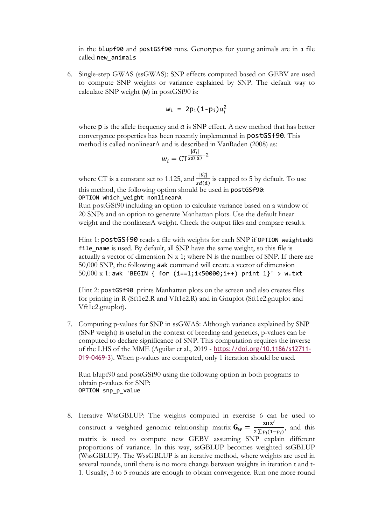in the blupf90 and postGSf90 runs. Genotypes for young animals are in a file called new\_animals

6. Single-step GWAS (ssGWAS): SNP effects computed based on GEBV are used to compute SNP weights or variance explained by SNP. The default way to calculate SNP weight (w) in postGSf90 is:

$$
w_i = 2p_i(1-p_i)a_i^2
$$

where  $p$  is the allele frequency and  $a$  is SNP effect. A new method that has better convergence properties has been recently implemented in postGSf90. This method is called nonlinearA and is described in VanRaden (2008) as:

$$
w_i = \text{CT}^{\frac{|\widehat{a_i}|}{sd(\widehat{a})} - 2}
$$

where CT is a constant set to 1.125, and  $\frac{|\widehat{a_l}|}{sd(\widehat{a})}$  is capped to 5 by default. To use this method, the following option should be used in postGSf90: OPTION which weight nonlinearA

Run postGSf90 including an option to calculate variance based on a window of 20 SNPs and an option to generate Manhattan plots. Use the default linear weight and the nonlinearA weight. Check the output files and compare results.

Hint 1: postGSf90 reads a file with weights for each SNP if OPTION weightedG file\_name is used. By default, all SNP have the same weight, so this file is actually a vector of dimension  $N \times 1$ ; where  $N$  is the number of SNP. If there are 50,000 SNP, the following awk command will create a vector of dimension  $50,000 \text{ x } 1$ : awk 'BEGIN { for (i==1;i<50000;i++) print 1}' > w.txt

Hint 2: postGSf90 prints Manhattan plots on the screen and also creates files for printing in R (Sft1e2.R and Vft1e2.R) and in Gnuplot (Sft1e2.gnuplot and Vft1e2.gnuplot).

7. Computing p-values for SNP in ssGWAS: Although variance explained by SNP (SNP weight) is useful in the context of breeding and genetics, p-values can be computed to declare significance of SNP. This computation requires the inverse of the LHS of the MME (Aguilar et al., 2019 - https://doi.org/10.1186/s12711- 019-0469-3). When p-values are computed, only 1 iteration should be used.

Run blupf90 and postGSf90 using the following option in both programs to obtain p-values for SNP: OPTION snp\_p\_value

8. Iterative WssGBLUP: The weights computed in exercise 6 can be used to construct a weighted genomic relationship matrix  $G_w = \frac{zDZ'}{2\sum p_i(1-p_i)}$ , and this matrix is used to compute new GEBV assuming SNP explain different proportions of variance. In this way, ssGBLUP becomes weighted ssGBLUP (WssGBLUP). The WssGBLUP is an iterative method, where weights are used in several rounds, until there is no more change between weights in iteration t and t-1. Usually, 3 to 5 rounds are enough to obtain convergence. Run one more round